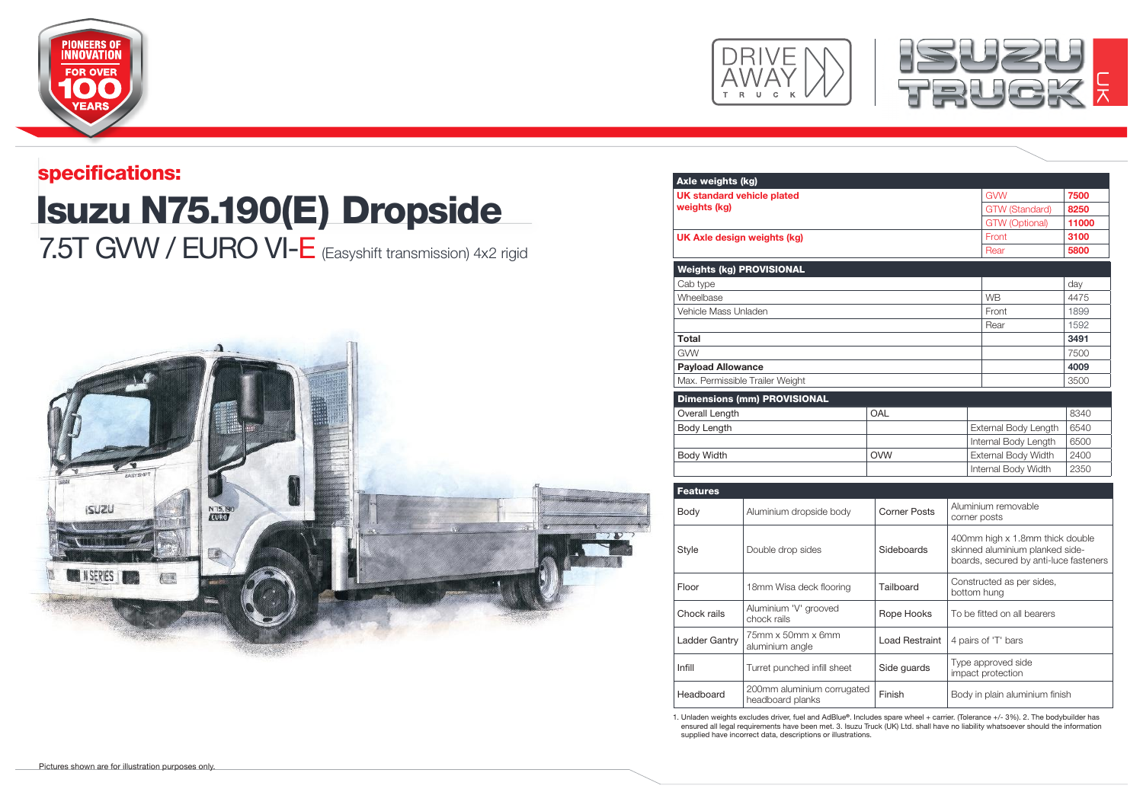





## Isuzu N75.190(E) Dropside specifications: 7.5T GVW / EURO VI-E (Easyshift transmission) 4x2 rigid



| Axle weights (kg)                                 |                                                |                       |                                                                           |                           |       |
|---------------------------------------------------|------------------------------------------------|-----------------------|---------------------------------------------------------------------------|---------------------------|-------|
| <b>UK standard vehicle plated</b><br>weights (kg) |                                                |                       |                                                                           | <b>GVW</b>                | 7500  |
|                                                   |                                                |                       |                                                                           | <b>GTW (Standard)</b>     | 8250  |
|                                                   |                                                |                       |                                                                           | <b>GTW</b> (Optional)     | 11000 |
| UK Axle design weights (kg)                       |                                                |                       |                                                                           | Front                     | 3100  |
|                                                   |                                                |                       |                                                                           | Rear                      | 5800  |
| <b>Weights (kg) PROVISIONAL</b>                   |                                                |                       |                                                                           |                           |       |
| Cab type                                          |                                                |                       |                                                                           |                           | day   |
| Wheelbase                                         |                                                |                       |                                                                           | <b>WB</b>                 | 4475  |
| Vehicle Mass Unladen                              |                                                |                       |                                                                           | Front                     | 1899  |
|                                                   |                                                |                       |                                                                           | Rear                      | 1592  |
| <b>Total</b>                                      |                                                |                       |                                                                           |                           | 3491  |
| <b>GVW</b>                                        |                                                |                       |                                                                           |                           | 7500  |
| <b>Payload Allowance</b>                          |                                                |                       |                                                                           |                           | 4009  |
| Max. Permissible Trailer Weight                   |                                                |                       |                                                                           |                           | 3500  |
|                                                   | <b>Dimensions (mm) PROVISIONAL</b>             |                       |                                                                           |                           |       |
| Overall Length<br>OAL                             |                                                |                       |                                                                           |                           | 8340  |
| Body Length                                       |                                                |                       | External Body Length                                                      | 6540                      |       |
|                                                   |                                                |                       | Internal Body Length                                                      | 6500                      |       |
| <b>Body Width</b>                                 |                                                | <b>OVW</b>            |                                                                           | External Body Width       | 2400  |
|                                                   |                                                |                       |                                                                           | Internal Body Width       | 2350  |
|                                                   |                                                |                       |                                                                           |                           |       |
| <b>Features</b>                                   |                                                |                       |                                                                           |                           |       |
| Body                                              | Aluminium dropside body                        | <b>Corner Posts</b>   | Aluminium removable<br>corner posts                                       |                           |       |
|                                                   | Double drop sides                              |                       | 400mm high x 1.8mm thick double                                           |                           |       |
| Style                                             |                                                | Sideboards            | skinned aluminium planked side-<br>boards, secured by anti-luce fasteners |                           |       |
|                                                   |                                                |                       |                                                                           |                           |       |
|                                                   |                                                |                       |                                                                           | Constructed as per sides, |       |
| Floor                                             | 18mm Wisa deck flooring                        | Tailboard             |                                                                           | bottom hung               |       |
| Chock rails                                       | Aluminium 'V' grooved<br>chock rails           | Rope Hooks            | To be fitted on all bearers                                               |                           |       |
| Ladder Gantry                                     | 75mm x 50mm x 6mm<br>aluminium angle           | <b>Load Restraint</b> | 4 pairs of 'T' bars                                                       |                           |       |
| Infill                                            | Turret punched infill sheet                    | Side guards           | Type approved side<br>impact protection                                   |                           |       |
| Headboard                                         | 200mm aluminium corrugated<br>headboard planks | Finish                | Body in plain aluminium finish                                            |                           |       |

1. Unladen weights excludes driver, fuel and AdBlue**®**. Includes spare wheel + carrier. (Tolerance +/- 3%). 2. The bodybuilder has ensured all legal requirements have been met. 3. Isuzu Truck (UK) Ltd. shall have no liability whatsoever should the information supplied have incorrect data, descriptions or illustrations.